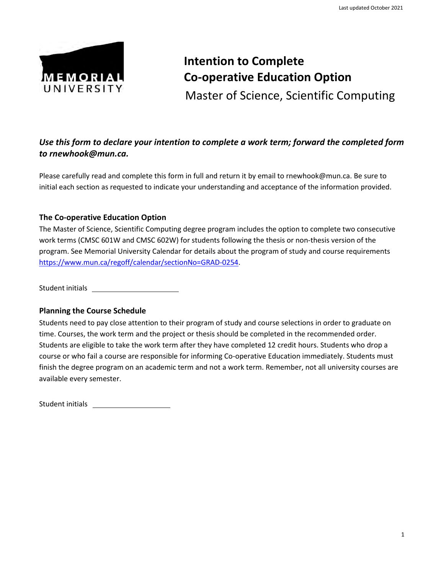

# **Intention to Complete Co-operative Education Option** Master of Science, Scientific Computing

### *Use this form to declare your intention to complete a work term; forward the completed form to [rnewhook@mun.ca.](mailto:rnewhook@mun.ca)*

Please carefully read and complete this form in full and return it by email t[o rnewhook@mun.ca.](mailto:rnewhook@mun.ca) Be sure to initial each section as requested to indicate your understanding and acceptance of the information provided.

#### **The Co-operative Education Option**

The Master of Science, Scientific Computing degree program includes the option to complete two consecutive work terms (CMSC 601W and CMSC 602W) for students following the thesis or non-thesis version of the program. See Memorial University Calendar for details about the program of study and course requirements [https://www.mun.ca/regoff/calendar/sectionNo=GRAD-0254.](https://www.mun.ca/regoff/calendar/sectionNo=GRAD-0254)

Student initials

#### **Planning the Course Schedule**

Students need to pay close attention to their program of study and course selections in order to graduate on time. Courses, the work term and the project or thesis should be completed in the recommended order. Students are eligible to take the work term after they have completed 12 credit hours. Students who drop a course or who fail a course are responsible for informing Co-operative Education immediately. Students must finish the degree program on an academic term and not a work term. Remember, not all university courses are available every semester.

Student initials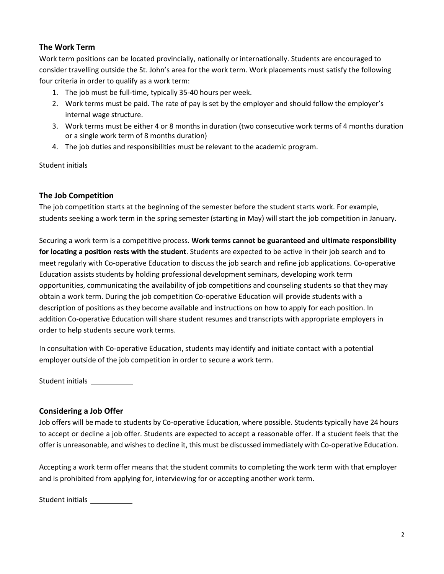#### **The Work Term**

Work term positions can be located provincially, nationally or internationally. Students are encouraged to consider travelling outside the St. John's area for the work term. Work placements must satisfy the following four criteria in order to qualify as a work term:

- 1. The job must be full-time, typically 35-40 hours per week.
- 2. Work terms must be paid. The rate of pay is set by the employer and should follow the employer's internal wage structure.
- 3. Work terms must be either 4 or 8 months in duration (two consecutive work terms of 4 months duration or a single work term of 8 months duration)
- 4. The job duties and responsibilities must be relevant to the academic program.

Student initials \_\_\_\_\_\_\_\_\_\_\_\_

#### **The Job Competition**

The job competition starts at the beginning of the semester before the student starts work. For example, students seeking a work term in the spring semester (starting in May) will start the job competition in January.

Securing a work term is a competitive process. **Work terms cannot be guaranteed and ultimate responsibility for locating a position rests with the student**. Students are expected to be active in their job search and to meet regularly with Co-operative Education to discuss the job search and refine job applications. Co-operative Education assists students by holding professional development seminars, developing work term opportunities, communicating the availability of job competitions and counseling students so that they may obtain a work term. During the job competition Co-operative Education will provide students with a description of positions as they become available and instructions on how to apply for each position. In addition Co-operative Education will share student resumes and transcripts with appropriate employers in order to help students secure work terms.

In consultation with Co-operative Education, students may identify and initiate contact with a potential employer outside of the job competition in order to secure a work term.

Student initials \_\_\_\_\_\_\_\_\_\_\_\_

#### **Considering a Job Offer**

Job offers will be made to students by Co-operative Education, where possible. Students typically have 24 hours to accept or decline a job offer. Students are expected to accept a reasonable offer. If a student feels that the offer is unreasonable, and wishes to decline it, this must be discussed immediately with Co-operative Education.

Accepting a work term offer means that the student commits to completing the work term with that employer and is prohibited from applying for, interviewing for or accepting another work term.

Student initials \_\_\_\_\_\_\_\_\_\_\_\_\_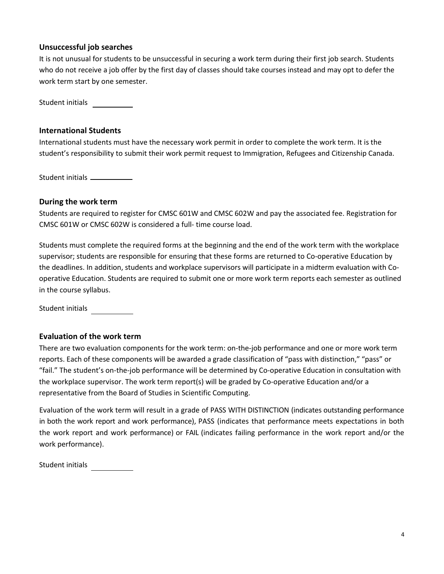#### **Unsuccessful job searches**

It is not unusual for students to be unsuccessful in securing a work term during their first job search. Students who do not receive a job offer by the first day of classes should take courses instead and may opt to defer the work term start by one semester.

Student initials

#### **International Students**

International students must have the necessary work permit in order to complete the work term. It is the student's responsibility to submit their work permit request to Immigration, Refugees and Citizenship Canada.

Student initials

#### **During the work term**

Students are required to register for CMSC 601W and CMSC 602W and pay the associated fee. Registration for CMSC 601W or CMSC 602W is considered a full- time course load.

Students must complete the required forms at the beginning and the end of the work term with the workplace supervisor; students are responsible for ensuring that these forms are returned to Co-operative Education by the deadlines. In addition, students and workplace supervisors will participate in a midterm evaluation with Cooperative Education. Students are required to submit one or more work term reports each semester as outlined in the course syllabus.

Student initials

#### **Evaluation of the work term**

There are two evaluation components for the work term: on-the-job performance and one or more work term reports. Each of these components will be awarded a grade classification of "pass with distinction," "pass" or "fail." The student's on-the-job performance will be determined by Co-operative Education in consultation with the workplace supervisor. The work term report(s) will be graded by Co-operative Education and/or a representative from the Board of Studies in Scientific Computing.

Evaluation of the work term will result in a grade of PASS WITH DISTINCTION (indicates outstanding performance in both the work report and work performance), PASS (indicates that performance meets expectations in both the work report and work performance) or FAIL (indicates failing performance in the work report and/or the work performance).

Student initials